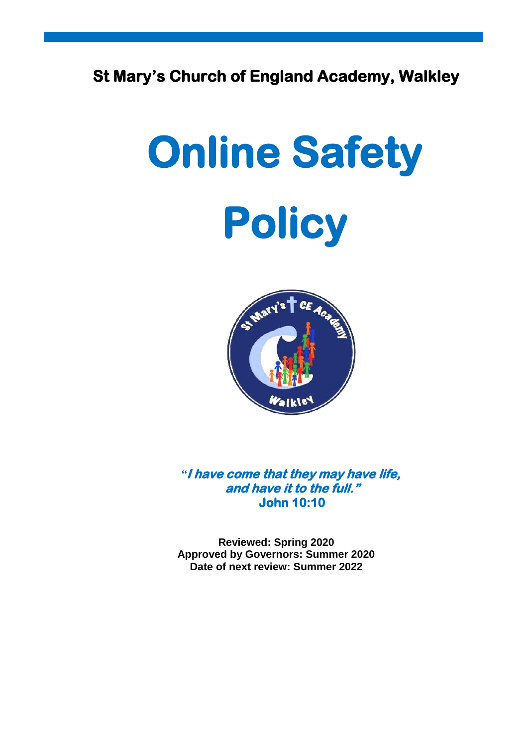# **St Mary's Church of England Academy, Walkley**

# **Online Safety Policy**



*"***I have come that they may have life, and have it to the full." John 10:10** 

**Reviewed: Spring 2020 Approved by Governors: Summer 2020 Date of next review: Summer 2022**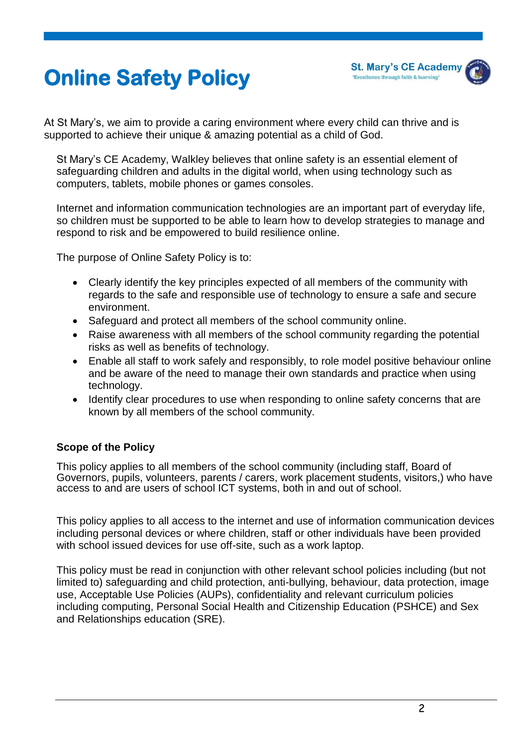



At St Mary's, we aim to provide a caring environment where every child can thrive and is supported to achieve their unique & amazing potential as a child of God.

St Mary's CE Academy, Walkley believes that online safety is an essential element of safeguarding children and adults in the digital world, when using technology such as computers, tablets, mobile phones or games consoles.

Internet and information communication technologies are an important part of everyday life, so children must be supported to be able to learn how to develop strategies to manage and respond to risk and be empowered to build resilience online.

The purpose of Online Safety Policy is to:

- Clearly identify the key principles expected of all members of the community with regards to the safe and responsible use of technology to ensure a safe and secure environment.
- Safeguard and protect all members of the school community online.
- Raise awareness with all members of the school community regarding the potential risks as well as benefits of technology.
- Enable all staff to work safely and responsibly, to role model positive behaviour online and be aware of the need to manage their own standards and practice when using technology.
- Identify clear procedures to use when responding to online safety concerns that are known by all members of the school community.

# **Scope of the Policy**

This policy applies to all members of the school community (including staff, Board of Governors, pupils, volunteers, parents / carers, work placement students, visitors,) who have access to and are users of school ICT systems, both in and out of school.

This policy applies to all access to the internet and use of information communication devices including personal devices or where children, staff or other individuals have been provided with school issued devices for use off-site, such as a work laptop.

This policy must be read in conjunction with other relevant school policies including (but not limited to) safeguarding and child protection, anti-bullying, behaviour, data protection, image use, Acceptable Use Policies (AUPs), confidentiality and relevant curriculum policies including computing, Personal Social Health and Citizenship Education (PSHCE) and Sex and Relationships education (SRE).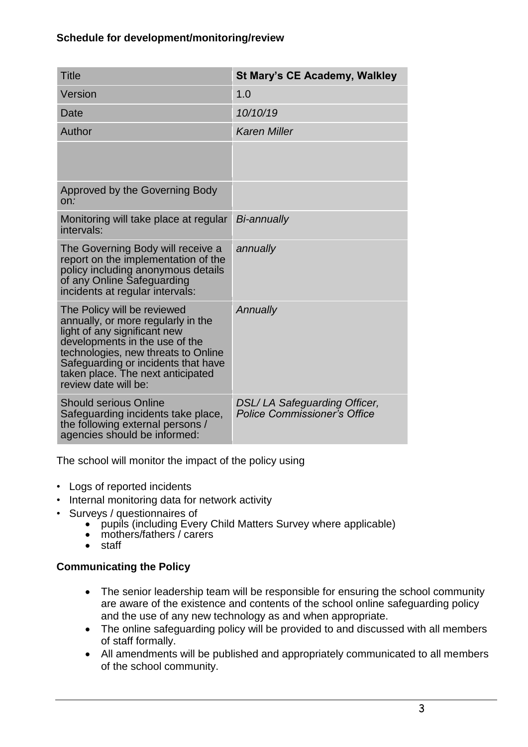# **Schedule for development/monitoring/review**

| <b>Title</b>                                                                                                                                                                                                                                                                   | St Mary's CE Academy, Walkley                                       |
|--------------------------------------------------------------------------------------------------------------------------------------------------------------------------------------------------------------------------------------------------------------------------------|---------------------------------------------------------------------|
| Version                                                                                                                                                                                                                                                                        | 1.0                                                                 |
| Date                                                                                                                                                                                                                                                                           | 10/10/19                                                            |
| Author                                                                                                                                                                                                                                                                         | <b>Karen Miller</b>                                                 |
|                                                                                                                                                                                                                                                                                |                                                                     |
| Approved by the Governing Body<br>On:                                                                                                                                                                                                                                          |                                                                     |
| Monitoring will take place at regular<br>intervals:                                                                                                                                                                                                                            | <b>Bi-annually</b>                                                  |
| The Governing Body will receive a<br>report on the implementation of the<br>policy including anonymous details<br>of any Online Safeguarding<br>incidents at regular intervals:                                                                                                | annually                                                            |
| The Policy will be reviewed<br>annually, or more regularly in the<br>light of any significant new<br>developments in the use of the<br>technologies, new threats to Online<br>Safeguarding or incidents that have<br>taken place. The next anticipated<br>review date will be: | Annually                                                            |
| <b>Should serious Online</b><br>Safeguarding incidents take place,<br>the following external persons /<br>agencies should be informed:                                                                                                                                         | <b>DSL/LA Safeguarding Officer,</b><br>Police Commissioner's Office |

The school will monitor the impact of the policy using

- Logs of reported incidents
- Internal monitoring data for network activity
- Surveys / questionnaires of
	- pupils (including Every Child Matters Survey where applicable)
	- mothers/fathers / carers
	- staff

# **Communicating the Policy**

- The senior leadership team will be responsible for ensuring the school community are aware of the existence and contents of the school online safeguarding policy and the use of any new technology as and when appropriate.
- The online safeguarding policy will be provided to and discussed with all members of staff formally.
- All amendments will be published and appropriately communicated to all members of the school community.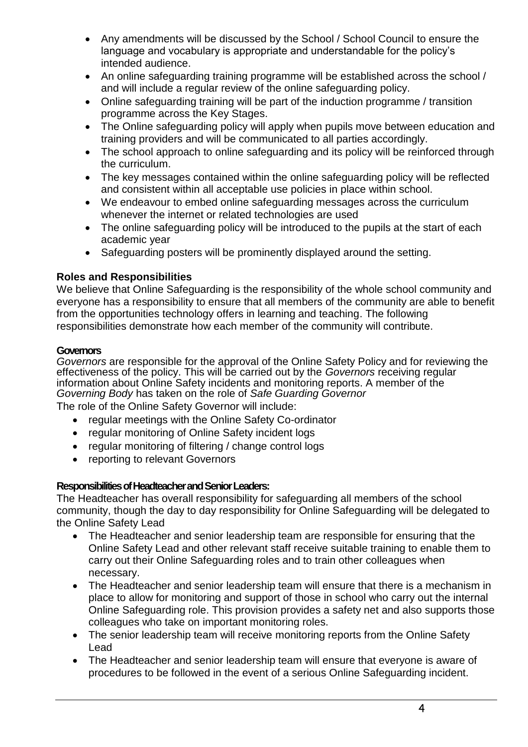- Any amendments will be discussed by the School / School Council to ensure the language and vocabulary is appropriate and understandable for the policy's intended audience.
- An online safeguarding training programme will be established across the school / and will include a regular review of the online safeguarding policy.
- Online safeguarding training will be part of the induction programme / transition programme across the Key Stages.
- The Online safeguarding policy will apply when pupils move between education and training providers and will be communicated to all parties accordingly.
- The school approach to online safeguarding and its policy will be reinforced through the curriculum.
- The key messages contained within the online safeguarding policy will be reflected and consistent within all acceptable use policies in place within school.
- We endeavour to embed online safeguarding messages across the curriculum whenever the internet or related technologies are used
- The online safeguarding policy will be introduced to the pupils at the start of each academic year
- Safeguarding posters will be prominently displayed around the setting.

# **Roles and Responsibilities**

We believe that Online Safeguarding is the responsibility of the whole school community and everyone has a responsibility to ensure that all members of the community are able to benefit from the opportunities technology offers in learning and teaching. The following responsibilities demonstrate how each member of the community will contribute.

# **Governors**

*Governors* are responsible for the approval of the Online Safety Policy and for reviewing the effectiveness of the policy. This will be carried out by the *Governors* receiving regular information about Online Safety incidents and monitoring reports. A member of the *Governing Body* has taken on the role of *Safe Guarding Governor*

The role of the Online Safety Governor will include:

- regular meetings with the Online Safety Co-ordinator
- regular monitoring of Online Safety incident logs
- regular monitoring of filtering / change control logs
- reporting to relevant Governors

# **Responsibilities of Headteacher and Senior Leaders:**

The Headteacher has overall responsibility for safeguarding all members of the school community, though the day to day responsibility for Online Safeguarding will be delegated to the Online Safety Lead

- The Headteacher and senior leadership team are responsible for ensuring that the Online Safety Lead and other relevant staff receive suitable training to enable them to carry out their Online Safeguarding roles and to train other colleagues when necessary.
- The Headteacher and senior leadership team will ensure that there is a mechanism in place to allow for monitoring and support of those in school who carry out the internal Online Safeguarding role. This provision provides a safety net and also supports those colleagues who take on important monitoring roles.
- The senior leadership team will receive monitoring reports from the Online Safety Lead
- The Headteacher and senior leadership team will ensure that everyone is aware of procedures to be followed in the event of a serious Online Safeguarding incident.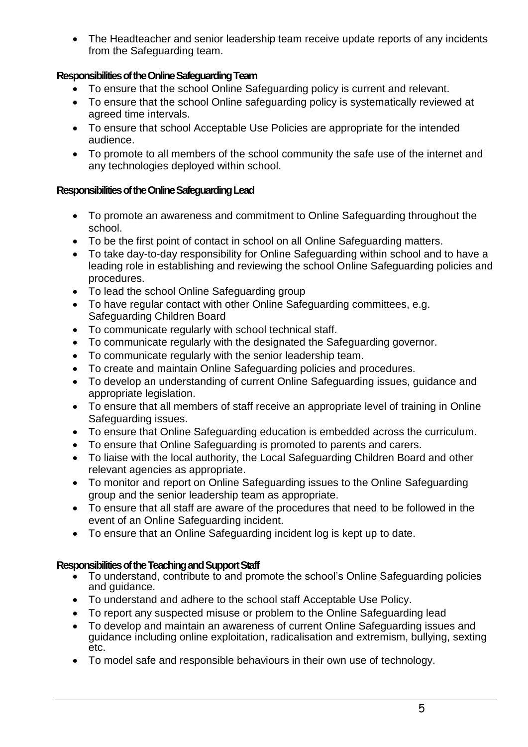• The Headteacher and senior leadership team receive update reports of any incidents from the Safeguarding team.

# **Responsibilities of the Online Safeguarding Team**

- To ensure that the school Online Safeguarding policy is current and relevant.
- To ensure that the school Online safeguarding policy is systematically reviewed at agreed time intervals.
- To ensure that school Acceptable Use Policies are appropriate for the intended audience.
- To promote to all members of the school community the safe use of the internet and any technologies deployed within school.

# **Responsibilities of theOnline Safeguarding Lead**

- To promote an awareness and commitment to Online Safeguarding throughout the school.
- To be the first point of contact in school on all Online Safeguarding matters.
- To take day-to-day responsibility for Online Safeguarding within school and to have a leading role in establishing and reviewing the school Online Safeguarding policies and procedures.
- To lead the school Online Safeguarding group
- To have regular contact with other Online Safeguarding committees, e.g. Safeguarding Children Board
- To communicate regularly with school technical staff.
- To communicate regularly with the designated the Safeguarding governor.
- To communicate regularly with the senior leadership team.
- To create and maintain Online Safeguarding policies and procedures.
- To develop an understanding of current Online Safeguarding issues, guidance and appropriate legislation.
- To ensure that all members of staff receive an appropriate level of training in Online Safeguarding issues.
- To ensure that Online Safeguarding education is embedded across the curriculum.
- To ensure that Online Safeguarding is promoted to parents and carers.
- To liaise with the local authority, the Local Safeguarding Children Board and other relevant agencies as appropriate.
- To monitor and report on Online Safeguarding issues to the Online Safeguarding group and the senior leadership team as appropriate.
- To ensure that all staff are aware of the procedures that need to be followed in the event of an Online Safeguarding incident.
- To ensure that an Online Safeguarding incident log is kept up to date.

# **Responsibilities of the Teaching and Support Staff**

- To understand, contribute to and promote the school's Online Safeguarding policies and guidance.
- To understand and adhere to the school staff Acceptable Use Policy.
- To report any suspected misuse or problem to the Online Safeguarding lead
- To develop and maintain an awareness of current Online Safeguarding issues and guidance including online exploitation, radicalisation and extremism, bullying, sexting etc.
- To model safe and responsible behaviours in their own use of technology.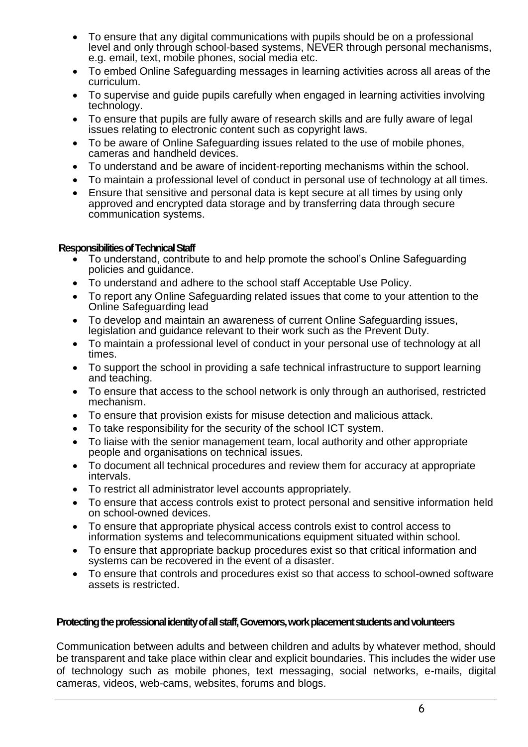- To ensure that any digital communications with pupils should be on a professional level and only through school-based systems, NEVER through personal mechanisms, e.g. email, text, mobile phones, social media etc.
- To embed Online Safeguarding messages in learning activities across all areas of the curriculum.
- To supervise and guide pupils carefully when engaged in learning activities involving technology.
- To ensure that pupils are fully aware of research skills and are fully aware of legal issues relating to electronic content such as copyright laws.
- To be aware of Online Safeguarding issues related to the use of mobile phones, cameras and handheld devices.
- To understand and be aware of incident-reporting mechanisms within the school.
- To maintain a professional level of conduct in personal use of technology at all times.
- Ensure that sensitive and personal data is kept secure at all times by using only approved and encrypted data storage and by transferring data through secure communication systems.

#### **Responsibilities of Technical Staff**

- To understand, contribute to and help promote the school's Online Safeguarding policies and guidance.
- To understand and adhere to the school staff Acceptable Use Policy.
- To report any Online Safeguarding related issues that come to your attention to the Online Safeguarding lead
- To develop and maintain an awareness of current Online Safeguarding issues, legislation and guidance relevant to their work such as the Prevent Duty.
- To maintain a professional level of conduct in your personal use of technology at all times.
- To support the school in providing a safe technical infrastructure to support learning and teaching.
- To ensure that access to the school network is only through an authorised, restricted mechanism.
- To ensure that provision exists for misuse detection and malicious attack.
- To take responsibility for the security of the school ICT system.
- To liaise with the senior management team, local authority and other appropriate people and organisations on technical issues.
- To document all technical procedures and review them for accuracy at appropriate intervals.
- To restrict all administrator level accounts appropriately.
- To ensure that access controls exist to protect personal and sensitive information held on school-owned devices.
- To ensure that appropriate physical access controls exist to control access to information systems and telecommunications equipment situated within school.
- To ensure that appropriate backup procedures exist so that critical information and systems can be recovered in the event of a disaster.
- To ensure that controls and procedures exist so that access to school-owned software assets is restricted.

# **Protecting the professional identity of all staff, Governors, work placement students and volunteers**

Communication between adults and between children and adults by whatever method, should be transparent and take place within clear and explicit boundaries. This includes the wider use of technology such as mobile phones, text messaging, social networks, e-mails, digital cameras, videos, web-cams, websites, forums and blogs.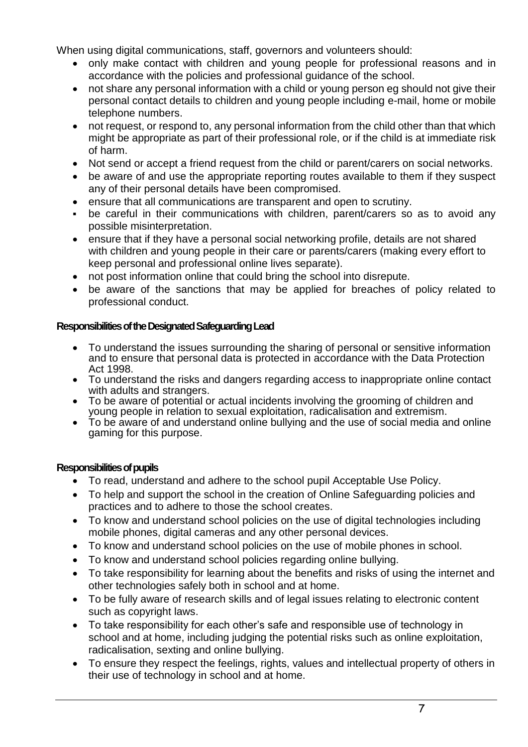When using digital communications, staff, governors and volunteers should:

- only make contact with children and young people for professional reasons and in accordance with the policies and professional guidance of the school.
- not share any personal information with a child or young person eg should not give their personal contact details to children and young people including e-mail, home or mobile telephone numbers.
- not request, or respond to, any personal information from the child other than that which might be appropriate as part of their professional role, or if the child is at immediate risk of harm.
- Not send or accept a friend request from the child or parent/carers on social networks.
- be aware of and use the appropriate reporting routes available to them if they suspect any of their personal details have been compromised.
- ensure that all communications are transparent and open to scrutiny.
- be careful in their communications with children, parent/carers so as to avoid any possible misinterpretation.
- ensure that if they have a personal social networking profile, details are not shared with children and young people in their care or parents/carers (making every effort to keep personal and professional online lives separate).
- not post information online that could bring the school into disrepute.
- be aware of the sanctions that may be applied for breaches of policy related to professional conduct.

# **Responsibilities of the Designated Safeguarding Lead**

- To understand the issues surrounding the sharing of personal or sensitive information and to ensure that personal data is protected in accordance with the Data Protection Act 1998.
- To understand the risks and dangers regarding access to inappropriate online contact with adults and strangers.
- To be aware of potential or actual incidents involving the grooming of children and young people in relation to sexual exploitation, radicalisation and extremism.
- To be aware of and understand online bullying and the use of social media and online gaming for this purpose.

# **Responsibilities of pupils**

- To read, understand and adhere to the school pupil Acceptable Use Policy.
- To help and support the school in the creation of Online Safeguarding policies and practices and to adhere to those the school creates.
- To know and understand school policies on the use of digital technologies including mobile phones, digital cameras and any other personal devices.
- To know and understand school policies on the use of mobile phones in school.
- To know and understand school policies regarding online bullying.
- To take responsibility for learning about the benefits and risks of using the internet and other technologies safely both in school and at home.
- To be fully aware of research skills and of legal issues relating to electronic content such as copyright laws.
- To take responsibility for each other's safe and responsible use of technology in school and at home, including judging the potential risks such as online exploitation, radicalisation, sexting and online bullying.
- To ensure they respect the feelings, rights, values and intellectual property of others in their use of technology in school and at home.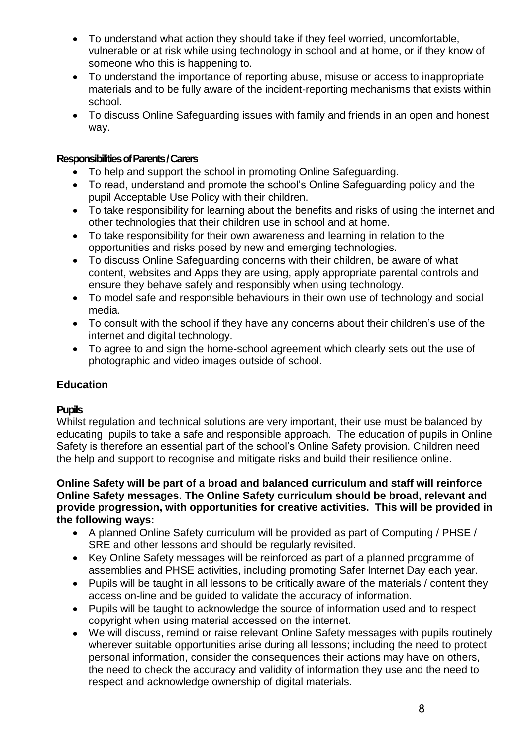- To understand what action they should take if they feel worried, uncomfortable, vulnerable or at risk while using technology in school and at home, or if they know of someone who this is happening to.
- To understand the importance of reporting abuse, misuse or access to inappropriate materials and to be fully aware of the incident-reporting mechanisms that exists within school.
- To discuss Online Safeguarding issues with family and friends in an open and honest way.

# **Responsibilities of Parents / Carers**

- To help and support the school in promoting Online Safeguarding.
- To read, understand and promote the school's Online Safeguarding policy and the pupil Acceptable Use Policy with their children.
- To take responsibility for learning about the benefits and risks of using the internet and other technologies that their children use in school and at home.
- To take responsibility for their own awareness and learning in relation to the opportunities and risks posed by new and emerging technologies.
- To discuss Online Safeguarding concerns with their children, be aware of what content, websites and Apps they are using, apply appropriate parental controls and ensure they behave safely and responsibly when using technology.
- To model safe and responsible behaviours in their own use of technology and social media.
- To consult with the school if they have any concerns about their children's use of the internet and digital technology.
- To agree to and sign the home-school agreement which clearly sets out the use of photographic and video images outside of school.

# **Education**

# **Pupils**

Whilst regulation and technical solutions are very important, their use must be balanced by educating pupils to take a safe and responsible approach. The education of pupils in Online Safety is therefore an essential part of the school's Online Safety provision. Children need the help and support to recognise and mitigate risks and build their resilience online.

**Online Safety will be part of a broad and balanced curriculum and staff will reinforce Online Safety messages. The Online Safety curriculum should be broad, relevant and provide progression, with opportunities for creative activities. This will be provided in the following ways:**

- A planned Online Safety curriculum will be provided as part of Computing / PHSE / SRE and other lessons and should be regularly revisited.
- Key Online Safety messages will be reinforced as part of a planned programme of assemblies and PHSE activities, including promoting Safer Internet Day each year.
- Pupils will be taught in all lessons to be critically aware of the materials / content they access on-line and be guided to validate the accuracy of information.
- Pupils will be taught to acknowledge the source of information used and to respect copyright when using material accessed on the internet.
- We will discuss, remind or raise relevant Online Safety messages with pupils routinely wherever suitable opportunities arise during all lessons; including the need to protect personal information, consider the consequences their actions may have on others, the need to check the accuracy and validity of information they use and the need to respect and acknowledge ownership of digital materials.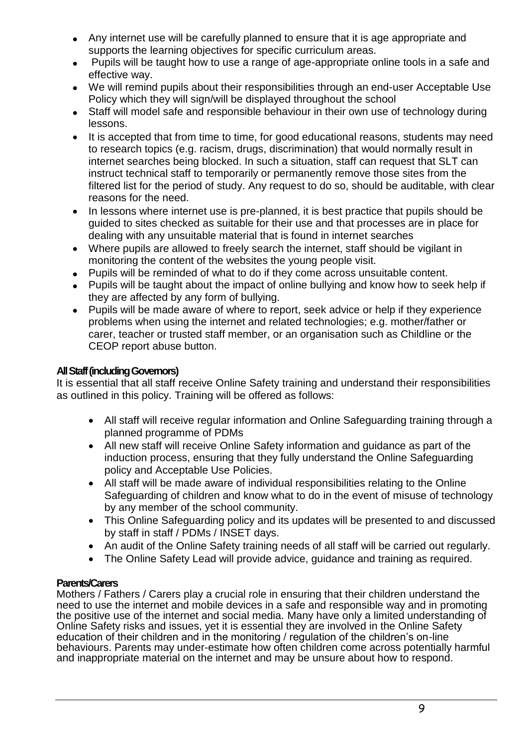- Any internet use will be carefully planned to ensure that it is age appropriate and supports the learning objectives for specific curriculum areas.
- Pupils will be taught how to use a range of age-appropriate online tools in a safe and effective way.
- We will remind pupils about their responsibilities through an end-user Acceptable Use Policy which they will sign/will be displayed throughout the school
- Staff will model safe and responsible behaviour in their own use of technology during lessons.
- It is accepted that from time to time, for good educational reasons, students may need to research topics (e.g. racism, drugs, discrimination) that would normally result in internet searches being blocked. In such a situation, staff can request that SLT can instruct technical staff to temporarily or permanently remove those sites from the filtered list for the period of study. Any request to do so, should be auditable, with clear reasons for the need.
- In lessons where internet use is pre-planned, it is best practice that pupils should be guided to sites checked as suitable for their use and that processes are in place for dealing with any unsuitable material that is found in internet searches
- Where pupils are allowed to freely search the internet, staff should be vigilant in monitoring the content of the websites the young people visit.
- Pupils will be reminded of what to do if they come across unsuitable content.
- Pupils will be taught about the impact of online bullying and know how to seek help if they are affected by any form of bullying.
- Pupils will be made aware of where to report, seek advice or help if they experience problems when using the internet and related technologies; e.g. mother/father or carer, teacher or trusted staff member, or an organisation such as Childline or the CEOP report abuse button.

# **All Staff (including Governors)**

It is essential that all staff receive Online Safety training and understand their responsibilities as outlined in this policy. Training will be offered as follows:

- All staff will receive regular information and Online Safeguarding training through a planned programme of PDMs
- All new staff will receive Online Safety information and guidance as part of the induction process, ensuring that they fully understand the Online Safeguarding policy and Acceptable Use Policies.
- All staff will be made aware of individual responsibilities relating to the Online Safeguarding of children and know what to do in the event of misuse of technology by any member of the school community.
- This Online Safeguarding policy and its updates will be presented to and discussed by staff in staff / PDMs / INSET days.
- An audit of the Online Safety training needs of all staff will be carried out regularly.
- The Online Safety Lead will provide advice, guidance and training as required.

# **Parents/Carers**

Mothers / Fathers / Carers play a crucial role in ensuring that their children understand the need to use the internet and mobile devices in a safe and responsible way and in promoting the positive use of the internet and social media. Many have only a limited understanding of Online Safety risks and issues, yet it is essential they are involved in the Online Safety education of their children and in the monitoring / regulation of the children's on-line behaviours. Parents may under-estimate how often children come across potentially harmful and inappropriate material on the internet and may be unsure about how to respond.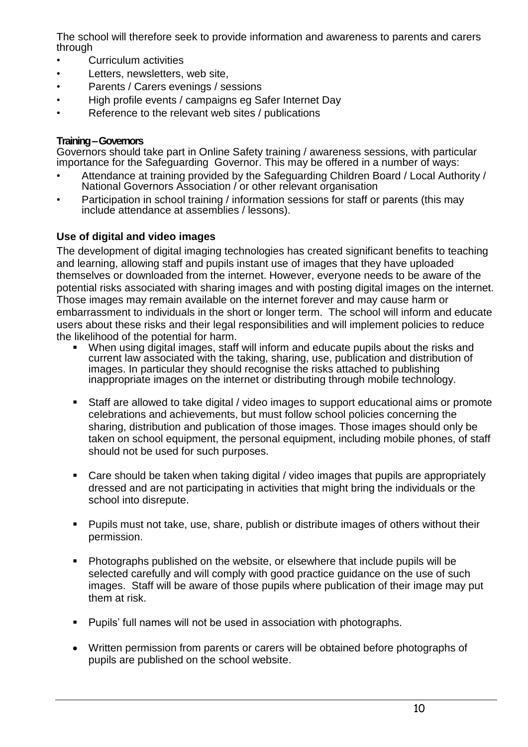The school will therefore seek to provide information and awareness to parents and carers through

- Curriculum activities
- Letters, newsletters, web site.
- Parents / Carers evenings / sessions
- High profile events / campaigns eg Safer Internet Day
- Reference to the relevant web sites / publications

#### **Training –Governors**

Governors should take part in Online Safety training / awareness sessions, with particular importance for the Safeguarding Governor. This may be offered in a number of ways:

- Attendance at training provided by the Safeguarding Children Board / Local Authority / National Governors Association / or other relevant organisation
- Participation in school training / information sessions for staff or parents (this may include attendance at assemblies / lessons).

# **Use of digital and video images**

The development of digital imaging technologies has created significant benefits to teaching and learning, allowing staff and pupils instant use of images that they have uploaded themselves or downloaded from the internet. However, everyone needs to be aware of the potential risks associated with sharing images and with posting digital images on the internet. Those images may remain available on the internet forever and may cause harm or embarrassment to individuals in the short or longer term. The school will inform and educate users about these risks and their legal responsibilities and will implement policies to reduce the likelihood of the potential for harm.

- When using digital images, staff will inform and educate pupils about the risks and current law associated with the taking, sharing, use, publication and distribution of images. In particular they should recognise the risks attached to publishing inappropriate images on the internet or distributing through mobile technology.
- Staff are allowed to take digital / video images to support educational aims or promote celebrations and achievements, but must follow school policies concerning the sharing, distribution and publication of those images. Those images should only be taken on school equipment, the personal equipment, including mobile phones, of staff should not be used for such purposes.
- Care should be taken when taking digital / video images that pupils are appropriately dressed and are not participating in activities that might bring the individuals or the school into disrepute.
- Pupils must not take, use, share, publish or distribute images of others without their permission.
- Photographs published on the website, or elsewhere that include pupils will be selected carefully and will comply with good practice guidance on the use of such images. Staff will be aware of those pupils where publication of their image may put them at risk.
- **Pupils' full names will not be used in association with photographs.**
- Written permission from parents or carers will be obtained before photographs of pupils are published on the school website.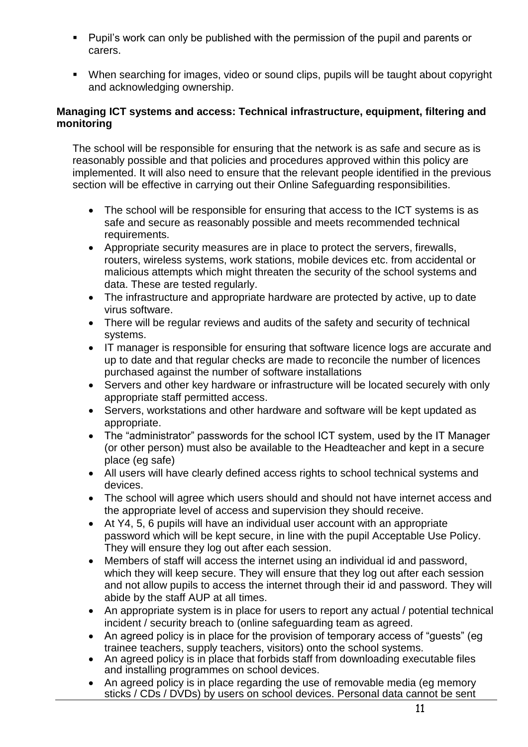- Pupil's work can only be published with the permission of the pupil and parents or carers.
- When searching for images, video or sound clips, pupils will be taught about copyright and acknowledging ownership.

# **Managing ICT systems and access: Technical infrastructure, equipment, filtering and monitoring**

The school will be responsible for ensuring that the network is as safe and secure as is reasonably possible and that policies and procedures approved within this policy are implemented. It will also need to ensure that the relevant people identified in the previous section will be effective in carrying out their Online Safeguarding responsibilities.

- The school will be responsible for ensuring that access to the ICT systems is as safe and secure as reasonably possible and meets recommended technical requirements.
- Appropriate security measures are in place to protect the servers, firewalls, routers, wireless systems, work stations, mobile devices etc. from accidental or malicious attempts which might threaten the security of the school systems and data. These are tested regularly.
- The infrastructure and appropriate hardware are protected by active, up to date virus software.
- There will be regular reviews and audits of the safety and security of technical systems.
- IT manager is responsible for ensuring that software licence logs are accurate and up to date and that regular checks are made to reconcile the number of licences purchased against the number of software installations
- Servers and other key hardware or infrastructure will be located securely with only appropriate staff permitted access.
- Servers, workstations and other hardware and software will be kept updated as appropriate.
- The "administrator" passwords for the school ICT system, used by the IT Manager (or other person) must also be available to the Headteacher and kept in a secure place (eg safe)
- All users will have clearly defined access rights to school technical systems and devices.
- The school will agree which users should and should not have internet access and the appropriate level of access and supervision they should receive.
- At Y4, 5, 6 pupils will have an individual user account with an appropriate password which will be kept secure, in line with the pupil Acceptable Use Policy. They will ensure they log out after each session.
- Members of staff will access the internet using an individual id and password, which they will keep secure. They will ensure that they log out after each session and not allow pupils to access the internet through their id and password. They will abide by the staff AUP at all times.
- An appropriate system is in place for users to report any actual / potential technical incident / security breach to (online safeguarding team as agreed.
- An agreed policy is in place for the provision of temporary access of "guests" (eg trainee teachers, supply teachers, visitors) onto the school systems.
- An agreed policy is in place that forbids staff from downloading executable files and installing programmes on school devices.
- An agreed policy is in place regarding the use of removable media (eg memory sticks / CDs / DVDs) by users on school devices. Personal data cannot be sent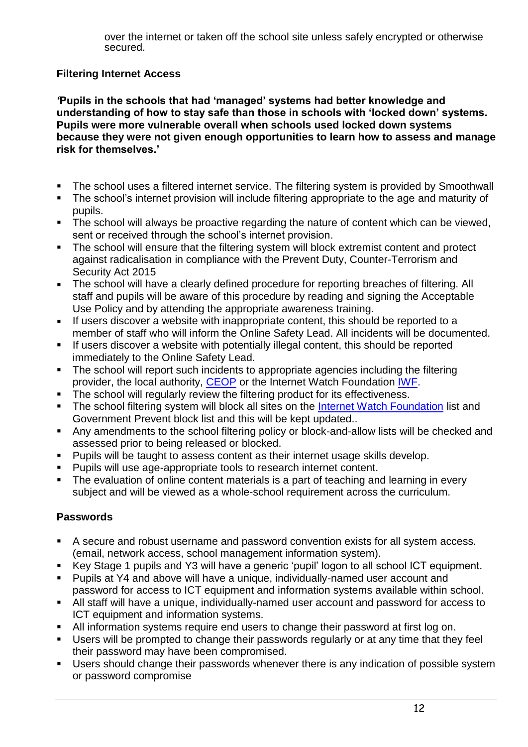over the internet or taken off the school site unless safely encrypted or otherwise secured.

# **Filtering Internet Access**

*'***Pupils in the schools that had 'managed' systems had better knowledge and understanding of how to stay safe than those in schools with 'locked down' systems. Pupils were more vulnerable overall when schools used locked down systems because they were not given enough opportunities to learn how to assess and manage risk for themselves.'** 

- The school uses a filtered internet service. The filtering system is provided by Smoothwall
- The school's internet provision will include filtering appropriate to the age and maturity of pupils.
- The school will always be proactive regarding the nature of content which can be viewed, sent or received through the school's internet provision.
- The school will ensure that the filtering system will block extremist content and protect against radicalisation in compliance with the Prevent Duty, Counter-Terrorism and Security Act 2015
- The school will have a clearly defined procedure for reporting breaches of filtering. All staff and pupils will be aware of this procedure by reading and signing the Acceptable Use Policy and by attending the appropriate awareness training.
- If users discover a website with inappropriate content, this should be reported to a member of staff who will inform the Online Safety Lead. All incidents will be documented.
- **If users discover a website with potentially illegal content, this should be reported** immediately to the Online Safety Lead.
- The school will report such incidents to appropriate agencies including the filtering provider, the local authority, [CEOP](http://ceop.police.uk/) or the Internet Watch Foundation [IWF.](http://www.iwf.org.uk/)
- The school will regularly review the filtering product for its effectiveness.
- The school filtering system will block all sites on the [Internet Watch Foundation](http://www.iwf.org.uk/) list and Government Prevent block list and this will be kept updated..
- Any amendments to the school filtering policy or block-and-allow lists will be checked and assessed prior to being released or blocked.
- **Pupils will be taught to assess content as their internet usage skills develop.**
- Pupils will use age-appropriate tools to research internet content.
- The evaluation of online content materials is a part of teaching and learning in every subject and will be viewed as a whole-school requirement across the curriculum.

# **Passwords**

- A secure and robust username and password convention exists for all system access. (email, network access, school management information system).
- Key Stage 1 pupils and Y3 will have a generic 'pupil' logon to all school ICT equipment.
- Pupils at Y4 and above will have a unique, individually-named user account and password for access to ICT equipment and information systems available within school.
- All staff will have a unique, individually-named user account and password for access to ICT equipment and information systems.
- All information systems require end users to change their password at first log on.
- Users will be prompted to change their passwords regularly or at any time that they feel their password may have been compromised.
- Users should change their passwords whenever there is any indication of possible system or password compromise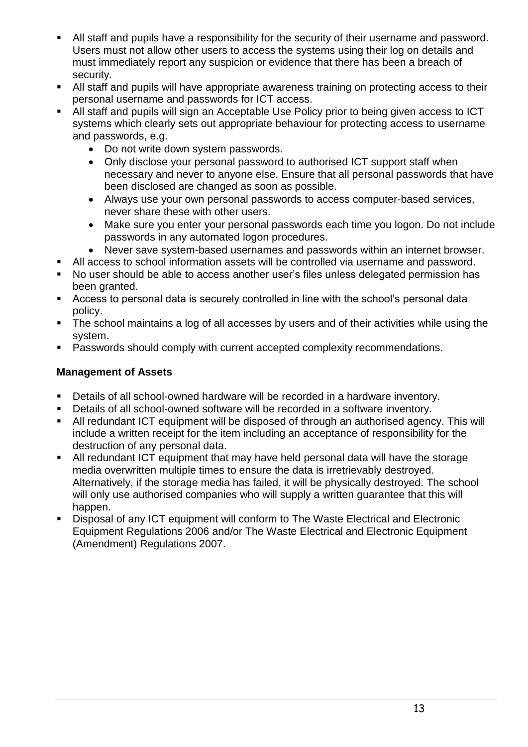- All staff and pupils have a responsibility for the security of their username and password. Users must not allow other users to access the systems using their log on details and must immediately report any suspicion or evidence that there has been a breach of security.
- All staff and pupils will have appropriate awareness training on protecting access to their personal username and passwords for ICT access.
- All staff and pupils will sign an Acceptable Use Policy prior to being given access to ICT systems which clearly sets out appropriate behaviour for protecting access to username and passwords, e.g.
	- Do not write down system passwords.
	- Only disclose your personal password to authorised ICT support staff when necessary and never to anyone else. Ensure that all personal passwords that have been disclosed are changed as soon as possible.
	- Always use your own personal passwords to access computer-based services, never share these with other users.
	- Make sure you enter your personal passwords each time you logon. Do not include passwords in any automated logon procedures.
	- Never save system-based usernames and passwords within an internet browser.
- All access to school information assets will be controlled via username and password.
- No user should be able to access another user's files unless delegated permission has been granted.
- Access to personal data is securely controlled in line with the school's personal data policy.
- The school maintains a log of all accesses by users and of their activities while using the system.
- **Passwords should comply with current accepted complexity recommendations.**

# **Management of Assets**

- Details of all school-owned hardware will be recorded in a hardware inventory.
- Details of all school-owned software will be recorded in a software inventory.
- All redundant ICT equipment will be disposed of through an authorised agency. This will include a written receipt for the item including an acceptance of responsibility for the destruction of any personal data.
- All redundant ICT equipment that may have held personal data will have the storage media overwritten multiple times to ensure the data is irretrievably destroyed. Alternatively, if the storage media has failed, it will be physically destroyed. The school will only use authorised companies who will supply a written quarantee that this will happen.
- Disposal of any ICT equipment will conform to [The Waste Electrical and Electronic](http://www.legislation.gov.uk/uksi/2006/3289/pdfs/uksi_20063289_en.pdf)  [Equipment Regulations 2006](http://www.legislation.gov.uk/uksi/2006/3289/pdfs/uksi_20063289_en.pdf) and/or [The Waste Electrical and Electronic Equipment](http://www.legislation.gov.uk/uksi/2007/3454/pdfs/uksi_20073454_en.pdf)  [\(Amendment\) Regulations 2007.](http://www.legislation.gov.uk/uksi/2007/3454/pdfs/uksi_20073454_en.pdf)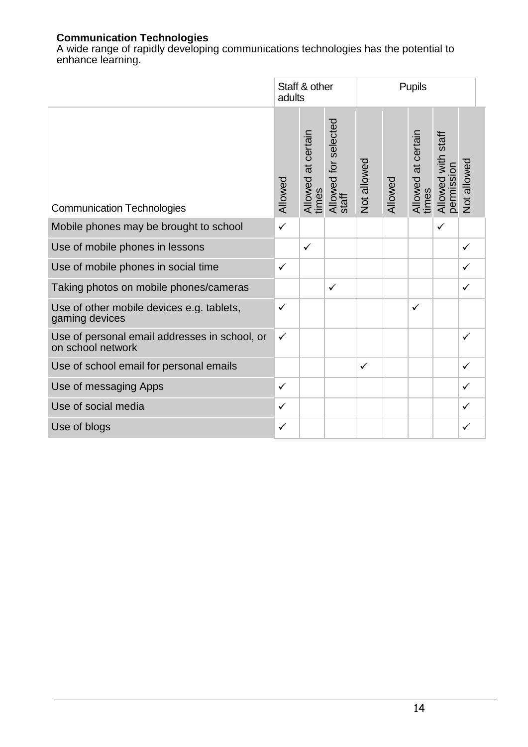# **Communication Technologies**

A wide range of rapidly developing communications technologies has the potential to enhance learning.

|                                                                    | Staff & other<br>adults |                             |                               | <b>Pupils</b> |         |                             |                                  |              |
|--------------------------------------------------------------------|-------------------------|-----------------------------|-------------------------------|---------------|---------|-----------------------------|----------------------------------|--------------|
| <b>Communication Technologies</b>                                  | Allowed                 | Allowed at certain<br>times | Allowed for selected<br>staff | Not allowed   | Allowed | Allowed at certain<br>times | Allowed with staff<br>permission | Not allowed  |
| Mobile phones may be brought to school                             | $\checkmark$            |                             |                               |               |         |                             | ✓                                |              |
| Use of mobile phones in lessons                                    |                         | $\checkmark$                |                               |               |         |                             |                                  | ✓            |
| Use of mobile phones in social time                                | $\checkmark$            |                             |                               |               |         |                             |                                  | ✓            |
| Taking photos on mobile phones/cameras                             |                         |                             | $\checkmark$                  |               |         |                             |                                  | ✓            |
| Use of other mobile devices e.g. tablets,<br>gaming devices        | $\checkmark$            |                             |                               |               |         | $\checkmark$                |                                  |              |
| Use of personal email addresses in school, or<br>on school network | ✓                       |                             |                               |               |         |                             |                                  | $\checkmark$ |
| Use of school email for personal emails                            |                         |                             |                               | $\checkmark$  |         |                             |                                  | $\checkmark$ |
| Use of messaging Apps                                              | $\checkmark$            |                             |                               |               |         |                             |                                  | ✓            |
| Use of social media                                                | $\checkmark$            |                             |                               |               |         |                             |                                  | ✓            |
| Use of blogs                                                       | ✓                       |                             |                               |               |         |                             |                                  | ✓            |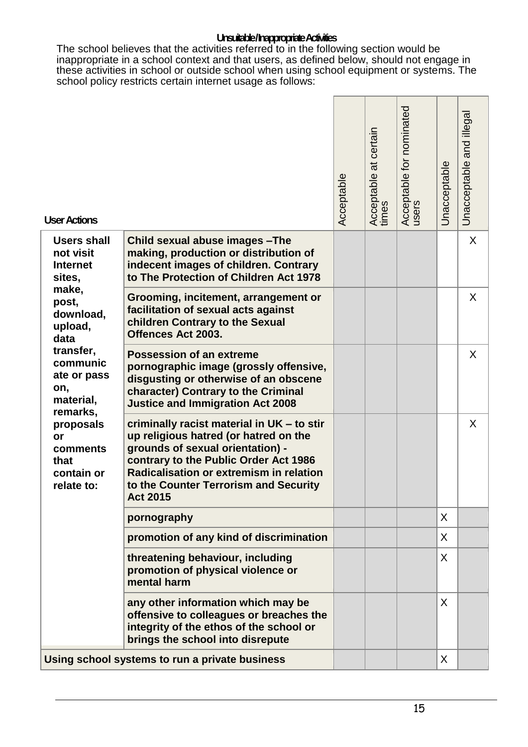#### **Unsuitable / Inappropriate Activities**

The school believes that the activities referred to in the following section would be inappropriate in a school context and that users, as defined below, should not engage in these activities in school or outside school when using school equipment or systems. The school policy restricts certain internet usage as follows:

| <b>User Actions</b>                                                                                                                                                                                                                                       |                                                                                                                                                                                                                                                                                | Acceptable | Acceptable at certain<br>times | Acceptable for nominated<br>users | Unacceptable | and illega<br>Unacceptable |
|-----------------------------------------------------------------------------------------------------------------------------------------------------------------------------------------------------------------------------------------------------------|--------------------------------------------------------------------------------------------------------------------------------------------------------------------------------------------------------------------------------------------------------------------------------|------------|--------------------------------|-----------------------------------|--------------|----------------------------|
| <b>Users shall</b><br>not visit<br><b>Internet</b><br>sites,<br>make,<br>post,<br>download,<br>upload,<br>data<br>transfer,<br>communic<br>ate or pass<br>on,<br>material,<br>remarks,<br>proposals<br>or<br>comments<br>that<br>contain or<br>relate to: | Child sexual abuse images - The<br>making, production or distribution of<br>indecent images of children. Contrary<br>to The Protection of Children Act 1978                                                                                                                    |            |                                |                                   |              | X                          |
|                                                                                                                                                                                                                                                           | Grooming, incitement, arrangement or<br>facilitation of sexual acts against<br>children Contrary to the Sexual<br>Offences Act 2003.                                                                                                                                           |            |                                |                                   |              | X                          |
|                                                                                                                                                                                                                                                           | <b>Possession of an extreme</b><br>pornographic image (grossly offensive,<br>disgusting or otherwise of an obscene<br>character) Contrary to the Criminal<br><b>Justice and Immigration Act 2008</b>                                                                           |            |                                |                                   |              | X.                         |
|                                                                                                                                                                                                                                                           | criminally racist material in UK - to stir<br>up religious hatred (or hatred on the<br>grounds of sexual orientation) -<br>contrary to the Public Order Act 1986<br><b>Radicalisation or extremism in relation</b><br>to the Counter Terrorism and Security<br><b>Act 2015</b> |            |                                |                                   |              | X                          |
|                                                                                                                                                                                                                                                           | pornography                                                                                                                                                                                                                                                                    |            |                                |                                   | X            |                            |
|                                                                                                                                                                                                                                                           | promotion of any kind of discrimination                                                                                                                                                                                                                                        |            |                                |                                   | X            |                            |
|                                                                                                                                                                                                                                                           | threatening behaviour, including<br>promotion of physical violence or<br>mental harm                                                                                                                                                                                           |            |                                |                                   | X.           |                            |
|                                                                                                                                                                                                                                                           | any other information which may be<br>offensive to colleagues or breaches the<br>integrity of the ethos of the school or<br>brings the school into disrepute                                                                                                                   |            |                                |                                   | X            |                            |
| Using school systems to run a private business                                                                                                                                                                                                            |                                                                                                                                                                                                                                                                                |            |                                |                                   | X            |                            |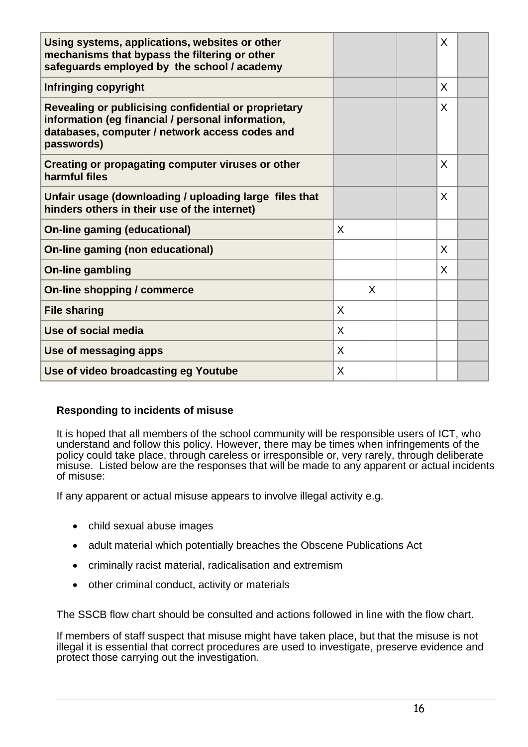| Using systems, applications, websites or other<br>mechanisms that bypass the filtering or other<br>safeguards employed by the school / academy                            |   |   | X            |  |
|---------------------------------------------------------------------------------------------------------------------------------------------------------------------------|---|---|--------------|--|
| <b>Infringing copyright</b>                                                                                                                                               |   |   | X            |  |
| Revealing or publicising confidential or proprietary<br>information (eg financial / personal information,<br>databases, computer / network access codes and<br>passwords) |   |   | $\mathsf{X}$ |  |
| Creating or propagating computer viruses or other<br>harmful files                                                                                                        |   |   | X            |  |
| Unfair usage (downloading / uploading large files that<br>hinders others in their use of the internet)                                                                    |   |   | X            |  |
| <b>On-line gaming (educational)</b>                                                                                                                                       | X |   |              |  |
| <b>On-line gaming (non educational)</b>                                                                                                                                   |   |   | X            |  |
| <b>On-line gambling</b>                                                                                                                                                   |   |   | X            |  |
| On-line shopping / commerce                                                                                                                                               |   | X |              |  |
| <b>File sharing</b>                                                                                                                                                       | X |   |              |  |
| Use of social media                                                                                                                                                       | X |   |              |  |
| Use of messaging apps                                                                                                                                                     | X |   |              |  |
| Use of video broadcasting eg Youtube                                                                                                                                      | X |   |              |  |

# **Responding to incidents of misuse**

It is hoped that all members of the school community will be responsible users of ICT, who understand and follow this policy. However, there may be times when infringements of the policy could take place, through careless or irresponsible or, very rarely, through deliberate misuse. Listed below are the responses that will be made to any apparent or actual incidents of misuse:

If any apparent or actual misuse appears to involve illegal activity e.g.

- child sexual abuse images
- adult material which potentially breaches the Obscene Publications Act
- criminally racist material, radicalisation and extremism
- other criminal conduct, activity or materials

The SSCB flow chart should be consulted and actions followed in line with the flow chart.

If members of staff suspect that misuse might have taken place, but that the misuse is not illegal it is essential that correct procedures are used to investigate, preserve evidence and protect those carrying out the investigation.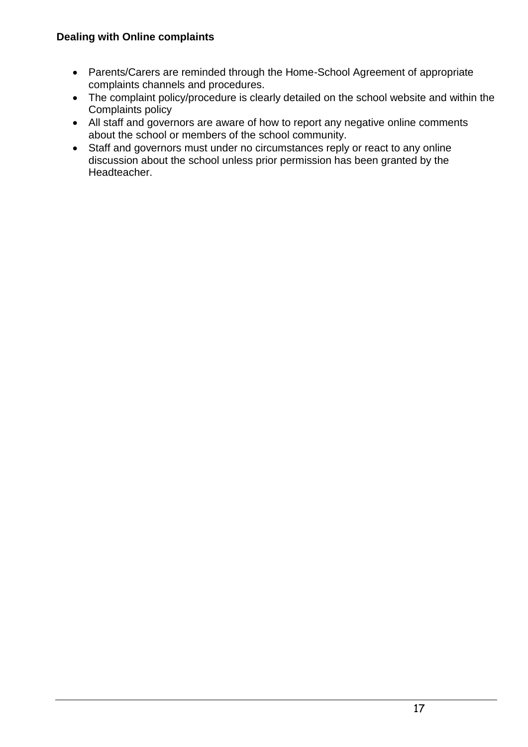# **Dealing with Online complaints**

- Parents/Carers are reminded through the Home-School Agreement of appropriate complaints channels and procedures.
- The complaint policy/procedure is clearly detailed on the school website and within the Complaints policy
- All staff and governors are aware of how to report any negative online comments about the school or members of the school community.
- Staff and governors must under no circumstances reply or react to any online discussion about the school unless prior permission has been granted by the Headteacher.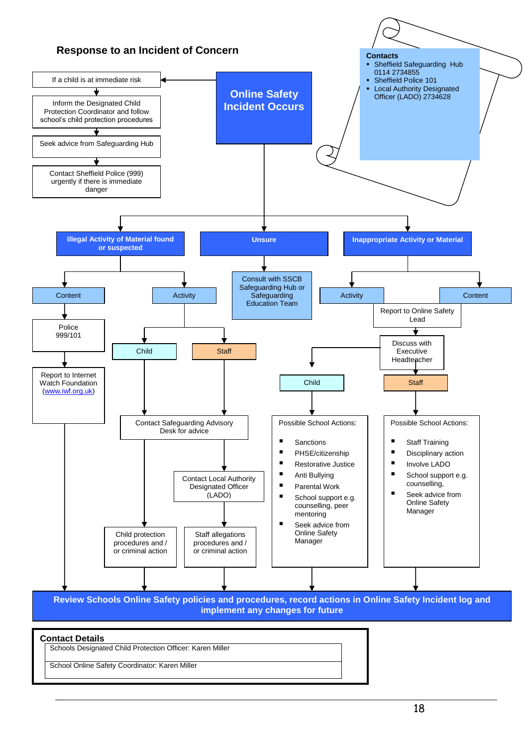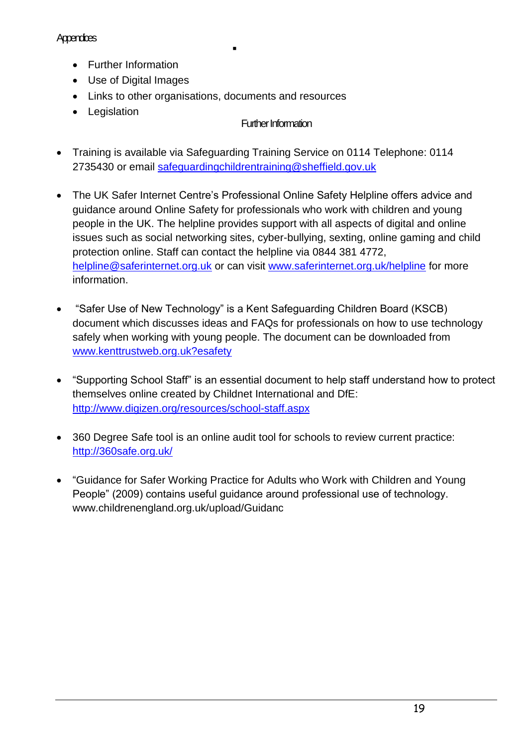# **Appendices**

- Further Information
- Use of Digital Images
- Links to other organisations, documents and resources

 $\blacksquare$ 

• Legislation

# Further Information

- Training is available via Safeguarding Training Service on 0114 Telephone: 0114 2735430 or email safequardingchildrentraining@sheffield.gov.uk
- The UK Safer Internet Centre's Professional Online Safety Helpline offers advice and guidance around Online Safety for professionals who work with children and young people in the UK. The helpline provides support with all aspects of digital and online issues such as social networking sites, cyber-bullying, sexting, online gaming and child protection online. Staff can contact the helpline via 0844 381 4772, [helpline@saferinternet.org.uk](mailto:helpline@saferinternet.org.uk) or can visit [www.saferinternet.org.uk/helpline](http://www.saferinternet.org.uk/helpline) for more information.
- "Safer Use of New Technology" is a Kent Safeguarding Children Board (KSCB) document which discusses ideas and FAQs for professionals on how to use technology safely when working with young people. The document can be downloaded from [www.kenttrustweb.org.uk?esafety](http://www.kenttrustweb.org.uk/?esafety)
- "Supporting School Staff" is an essential document to help staff understand how to protect themselves online created by Childnet International and DfE: <http://www.digizen.org/resources/school-staff.aspx>
- 360 Degree Safe tool is an online audit tool for schools to review current practice: <http://360safe.org.uk/>
- "Guidance for Safer Working Practice for Adults who Work with Children and Young People" (2009) contains useful guidance around professional use of technology. www.childrenengland.org.uk/upload/Guidanc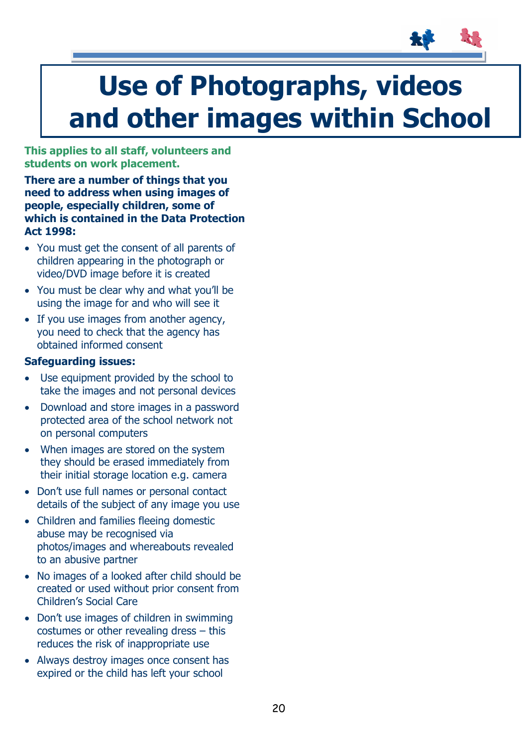

# **Use of Photographs, videos and other images within School**

**This applies to all staff, volunteers and students on work placement.**

**There are a number of things that you need to address when using images of people, especially children, some of which is contained in the Data Protection Act 1998:** 

- You must get the consent of all parents of children appearing in the photograph or video/DVD image before it is created
- You must be clear why and what you'll be using the image for and who will see it
- If you use images from another agency, you need to check that the agency has obtained informed consent

# **Safeguarding issues:**

- Use equipment provided by the school to take the images and not personal devices
- Download and store images in a password protected area of the school network not on personal computers
- When images are stored on the system they should be erased immediately from their initial storage location e.g. camera
- Don't use full names or personal contact details of the subject of any image you use
- Children and families fleeing domestic abuse may be recognised via photos/images and whereabouts revealed to an abusive partner
- No images of a looked after child should be created or used without prior consent from Children's Social Care
- Don't use images of children in swimming costumes or other revealing dress – this reduces the risk of inappropriate use
- Always destroy images once consent has expired or the child has left your school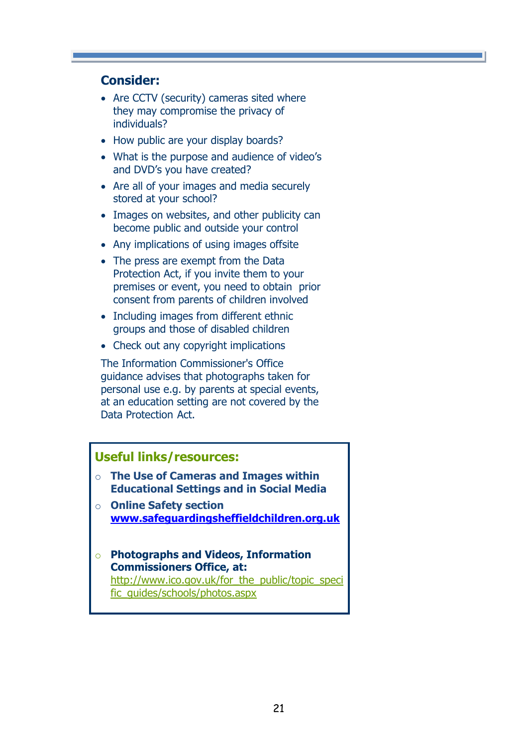# **Consider:**

- Are CCTV (security) cameras sited where they may compromise the privacy of individuals?
- How public are your display boards?
- What is the purpose and audience of video's and DVD's you have created?
- Are all of your images and media securely stored at your school?
- Images on websites, and other publicity can become public and outside your control
- Any implications of using images offsite
- The press are exempt from the Data Protection Act, if you invite them to your premises or event, you need to obtain prior consent from parents of children involved
- Including images from different ethnic groups and those of disabled children
- Check out any copyright implications

The Information Commissioner's Office guidance advises that photographs taken for personal use e.g. by parents at special events, at an education setting are not covered by the Data Protection Act.

# **Useful links/resources:**

- o **The Use of Cameras and Images within Educational Settings and in Social Media**
- o **Online Safety section [www.safeguardingsheffieldchildren.org.uk](http://www.safeguardingsheffieldchildren.org.uk/)**
- o **Photographs and Videos, Information Commissioners Office, at:** [http://www.ico.gov.uk/for\\_the\\_public/topic\\_speci](http://www.ico.gov.uk/for_the_public/topic_specific_guides/schools/photos.aspx) [fic\\_guides/schools/photos.aspx](http://www.ico.gov.uk/for_the_public/topic_specific_guides/schools/photos.aspx)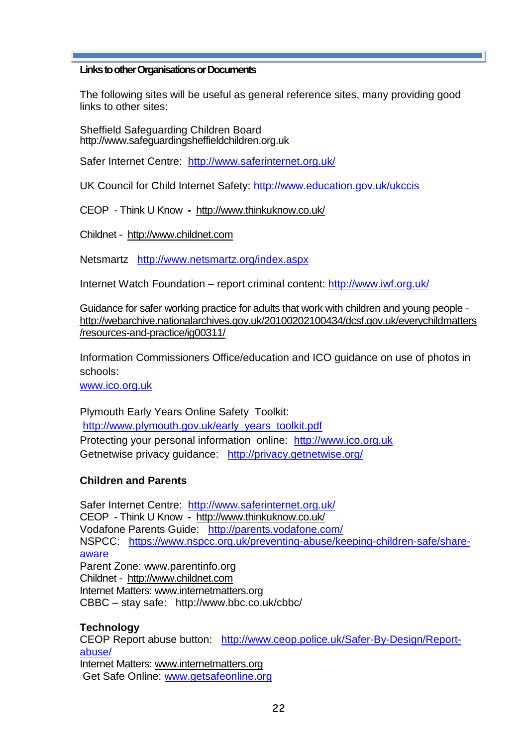#### **Links to other Organisations or Documents**

The following sites will be useful as general reference sites, many providing good links to other sites:

Sheffield Safeguarding Children Board [http://www.safeguardingsheffieldchildren.org.uk](http://www.safeguardingsheffieldchildren.org.uk/)

Safer Internet Centre: <http://www.saferinternet.org.uk/>

UK Council for Child Internet Safety:<http://www.education.gov.uk/ukccis>

CEOP - Think U Know **-** <http://www.thinkuknow.co.uk/>

Childnet -[http://www.childnet.com](http://www.childnet.com/)

Netsmartz <http://www.netsmartz.org/index.aspx>

Internet Watch Foundation – report criminal content:<http://www.iwf.org.uk/>

Guidance for safer working practice for adults that work with children and young people [http://webarchive.nationalarchives.gov.uk/20100202100434/dcsf.gov.uk/everychildmatters](http://webarchive.nationalarchives.gov.uk/20100202100434/dcsf.gov.uk/everychildmatters/resources-and-practice/ig00311/) [/resources-and-practice/ig00311/](http://webarchive.nationalarchives.gov.uk/20100202100434/dcsf.gov.uk/everychildmatters/resources-and-practice/ig00311/)

Information Commissioners Office/education and ICO guidance on use of photos in schools:

[www.ico.org.uk](http://www.ico.org.uk/)

Plymouth Early Years Online Safety Toolkit: [http://www.plymouth.gov.uk/early\\_years\\_toolkit.pdf](http://www.plymouth.gov.uk/early_years_toolkit.pdf) Protecting your personal information online: [http://www.ico.org.uk](http://www.ico.org.uk/) Getnetwise privacy guidance: <http://privacy.getnetwise.org/>

# **Children and Parents**

Safer Internet Centre: <http://www.saferinternet.org.uk/> CEOP - Think U Know **-** <http://www.thinkuknow.co.uk/> Vodafone Parents Guide: <http://parents.vodafone.com/> NSPCC: [https://www.nspcc.org.uk/preventing-abuse/keeping-children-safe/share](https://www.nspcc.org.uk/preventing-abuse/keeping-children-safe/share-aware)[aware](https://www.nspcc.org.uk/preventing-abuse/keeping-children-safe/share-aware) Parent Zone: www.parentinfo.org Childnet -[http://www.childnet.com](http://www.childnet.com/) Internet Matters: www.internetmatters.org CBBC – stay safe: http://www.bbc.co.uk/cbbc/

#### **Technology**

CEOP Report abuse button: [http://www.ceop.police.uk/Safer-By-Design/Report](http://www.ceop.police.uk/Safer-By-Design/Report-abuse/)[abuse/](http://www.ceop.police.uk/Safer-By-Design/Report-abuse/)

Internet Matters: [www.internetmatters.org](http://www.internetmatters.org/) Get Safe Online: [www.getsafeonline.org](http://www.getsafeonline.org/)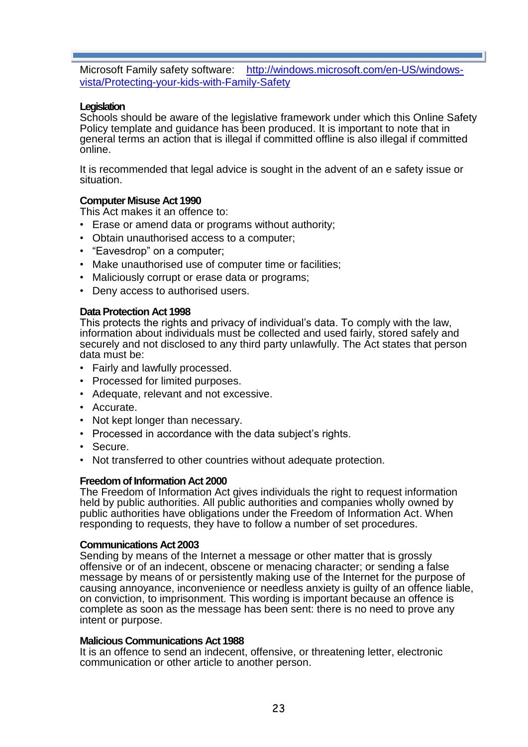Microsoft Family safety software: [http://windows.microsoft.com/en-US/windows](http://windows.microsoft.com/en-US/windows-vista/Protecting-your-kids-with-Family-Safety)[vista/Protecting-your-kids-with-Family-Safety](http://windows.microsoft.com/en-US/windows-vista/Protecting-your-kids-with-Family-Safety) 

#### **Legislation**

Schools should be aware of the legislative framework under which this Online Safety Policy template and guidance has been produced. It is important to note that in general terms an action that is illegal if committed offline is also illegal if committed online.

It is recommended that legal advice is sought in the advent of an e safety issue or situation.

#### **Computer Misuse Act 1990**

This Act makes it an offence to:

- Erase or amend data or programs without authority;
- Obtain unauthorised access to a computer;
- "Eavesdrop" on a computer;
- Make unauthorised use of computer time or facilities;
- Maliciously corrupt or erase data or programs;
- Deny access to authorised users.

#### **Data Protection Act 1998**

This protects the rights and privacy of individual's data. To comply with the law, information about individuals must be collected and used fairly, stored safely and securely and not disclosed to any third party unlawfully. The Act states that person data must be:

- Fairly and lawfully processed.
- Processed for limited purposes.
- Adequate, relevant and not excessive.
- Accurate.
- Not kept longer than necessary.
- Processed in accordance with the data subiect's rights.
- Secure.
- Not transferred to other countries without adequate protection.

#### **Freedom of Information Act 2000**

The Freedom of Information Act gives individuals the right to request information held by public authorities. All public authorities and companies wholly owned by public authorities have obligations under the Freedom of Information Act. When responding to requests, they have to follow a number of set procedures.

#### **Communications Act 2003**

Sending by means of the Internet a message or other matter that is grossly offensive or of an indecent, obscene or menacing character; or sending a false message by means of or persistently making use of the Internet for the purpose of causing annoyance, inconvenience or needless anxiety is guilty of an offence liable, on conviction, to imprisonment. This wording is important because an offence is complete as soon as the message has been sent: there is no need to prove any intent or purpose.

#### **Malicious Communications Act 1988**

It is an offence to send an indecent, offensive, or threatening letter, electronic communication or other article to another person.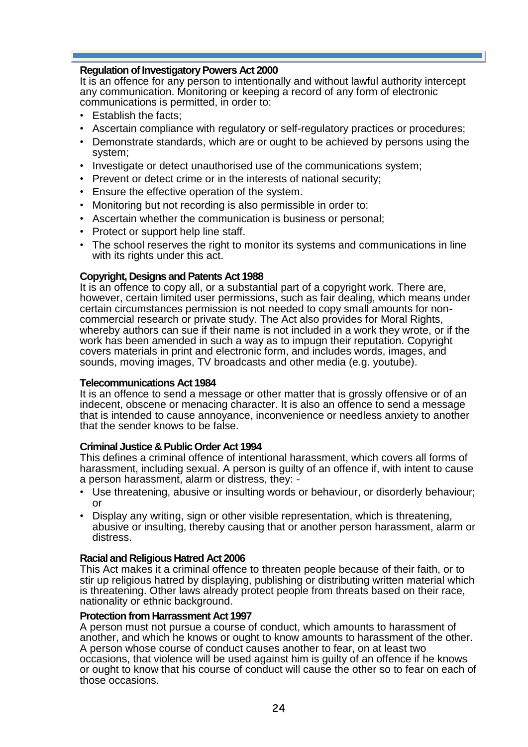#### **Regulation of Investigatory Powers Act 2000**

It is an offence for any person to intentionally and without lawful authority intercept any communication. Monitoring or keeping a record of any form of electronic communications is permitted, in order to:

- Establish the facts;
- Ascertain compliance with regulatory or self-regulatory practices or procedures;
- Demonstrate standards, which are or ought to be achieved by persons using the system;
- Investigate or detect unauthorised use of the communications system;
- Prevent or detect crime or in the interests of national security;
- Ensure the effective operation of the system.
- Monitoring but not recording is also permissible in order to:
- Ascertain whether the communication is business or personal;
- Protect or support help line staff.
- The school reserves the right to monitor its systems and communications in line with its rights under this act.

#### **Copyright, Designs and Patents Act 1988**

It is an offence to copy all, or a substantial part of a copyright work. There are, however, certain limited user permissions, such as fair dealing, which means under certain circumstances permission is not needed to copy small amounts for noncommercial research or private study. The Act also provides for Moral Rights, whereby authors can sue if their name is not included in a work they wrote, or if the work has been amended in such a way as to impugn their reputation. Copyright covers materials in print and electronic form, and includes words, images, and sounds, moving images, TV broadcasts and other media (e.g. youtube).

#### **Telecommunications Act 1984**

It is an offence to send a message or other matter that is grossly offensive or of an indecent, obscene or menacing character. It is also an offence to send a message that is intended to cause annoyance, inconvenience or needless anxiety to another that the sender knows to be false.

#### **Criminal Justice & Public Order Act 1994**

This defines a criminal offence of intentional harassment, which covers all forms of harassment, including sexual. A person is guilty of an offence if, with intent to cause a person harassment, alarm or distress, they: -

- Use threatening, abusive or insulting words or behaviour, or disorderly behaviour; or
- Display any writing, sign or other visible representation, which is threatening, abusive or insulting, thereby causing that or another person harassment, alarm or distress.

#### **Racial and Religious Hatred Act 2006**

This Act makes it a criminal offence to threaten people because of their faith, or to stir up religious hatred by displaying, publishing or distributing written material which is threatening. Other laws already protect people from threats based on their race, nationality or ethnic background.

#### **Protection from Harrassment Act 1997**

A person must not pursue a course of conduct, which amounts to harassment of another, and which he knows or ought to know amounts to harassment of the other. A person whose course of conduct causes another to fear, on at least two occasions, that violence will be used against him is guilty of an offence if he knows or ought to know that his course of conduct will cause the other so to fear on each of those occasions.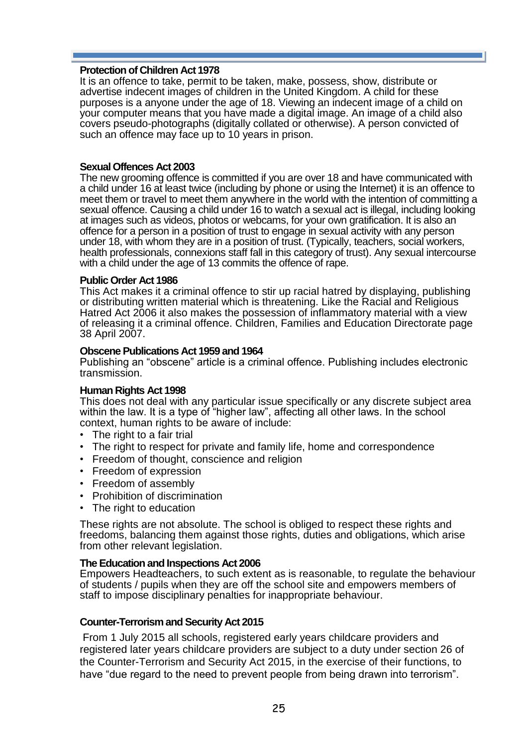#### **Protection of Children Act 1978**

It is an offence to take, permit to be taken, make, possess, show, distribute or advertise indecent images of children in the United Kingdom. A child for these purposes is a anyone under the age of 18. Viewing an indecent image of a child on your computer means that you have made a digital image. An image of a child also covers pseudo-photographs (digitally collated or otherwise). A person convicted of such an offence may face up to 10 years in prison.

#### **Sexual Offences Act 2003**

The new grooming offence is committed if you are over 18 and have communicated with a child under 16 at least twice (including by phone or using the Internet) it is an offence to meet them or travel to meet them anywhere in the world with the intention of committing a sexual offence. Causing a child under 16 to watch a sexual act is illegal, including looking at images such as videos, photos or webcams, for your own gratification. It is also an offence for a person in a position of trust to engage in sexual activity with any person under 18, with whom they are in a position of trust. (Typically, teachers, social workers, health professionals, connexions staff fall in this category of trust). Any sexual intercourse with a child under the age of 13 commits the offence of rape.

#### **Public Order Act 1986**

This Act makes it a criminal offence to stir up racial hatred by displaying, publishing or distributing written material which is threatening. Like the Racial and Religious Hatred Act 2006 it also makes the possession of inflammatory material with a view of releasing it a criminal offence. Children, Families and Education Directorate page 38 April 2007.

#### **Obscene Publications Act 1959 and 1964**

Publishing an "obscene" article is a criminal offence. Publishing includes electronic transmission.

#### **Human Rights Act 1998**

This does not deal with any particular issue specifically or any discrete subject area within the law. It is a type of "higher law", affecting all other laws. In the school context, human rights to be aware of include:

- The right to a fair trial
- The right to respect for private and family life, home and correspondence
- Freedom of thought, conscience and religion
- Freedom of expression
- Freedom of assembly
- Prohibition of discrimination
- The right to education

These rights are not absolute. The school is obliged to respect these rights and freedoms, balancing them against those rights, duties and obligations, which arise from other relevant legislation.

#### **The Education and Inspections Act 2006**

Empowers Headteachers, to such extent as is reasonable, to regulate the behaviour of students / pupils when they are off the school site and empowers members of staff to impose disciplinary penalties for inappropriate behaviour.

#### **Counter-Terrorism and Security Act 2015**

From 1 July 2015 all schools, registered early years childcare providers and registered later years childcare providers are subject to a duty under section 26 of the Counter-Terrorism and Security Act 2015, in the exercise of their functions, to have "due regard to the need to prevent people from being drawn into terrorism".